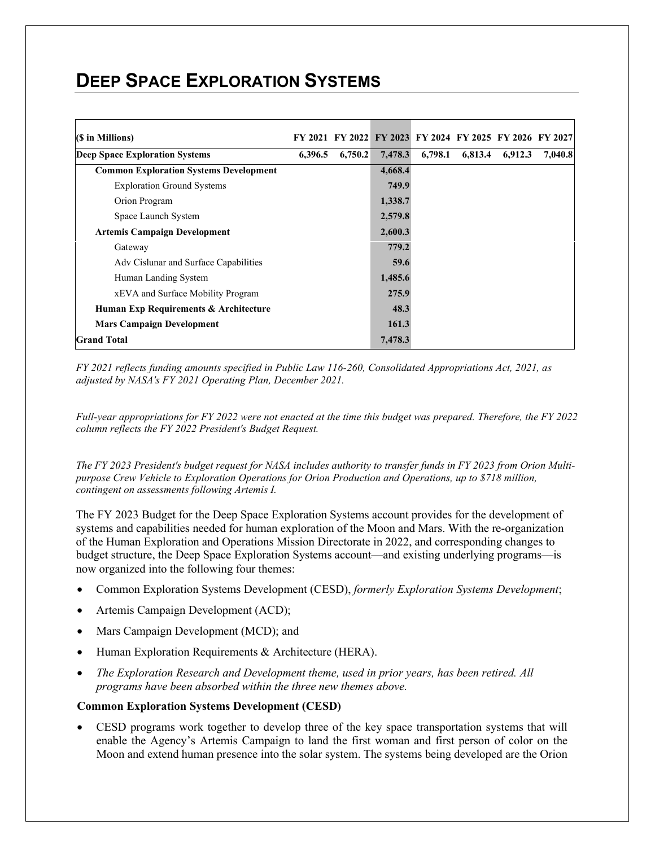## **DEEP SPACE EXPLORATION SYSTEMS**

| 6,396.5 | 6,750.2 |         | 6,798.1 | 6,813.4          | 6,912.3 | 7,040.8                                                 |
|---------|---------|---------|---------|------------------|---------|---------------------------------------------------------|
|         |         | 4,668.4 |         |                  |         |                                                         |
|         |         | 749.9   |         |                  |         |                                                         |
|         |         | 1,338.7 |         |                  |         |                                                         |
|         |         | 2,579.8 |         |                  |         |                                                         |
|         |         | 2,600.3 |         |                  |         |                                                         |
|         |         |         |         |                  |         |                                                         |
|         |         | 59.6    |         |                  |         |                                                         |
|         |         | 1,485.6 |         |                  |         |                                                         |
|         |         | 275.9   |         |                  |         |                                                         |
|         |         | 48.3    |         |                  |         |                                                         |
|         |         | 161.3   |         |                  |         |                                                         |
|         |         | 7,478.3 |         |                  |         |                                                         |
|         |         |         |         | 7,478.3<br>779.2 |         | FY 2021 FY 2022 FY 2023 FY 2024 FY 2025 FY 2026 FY 2027 |

*FY 2021 reflects funding amounts specified in Public Law 116-260, Consolidated Appropriations Act, 2021, as adjusted by NASA's FY 2021 Operating Plan, December 2021.*

*Full-year appropriations for FY 2022 were not enacted at the time this budget was prepared. Therefore, the FY 2022 column reflects the FY 2022 President's Budget Request.*

*The FY 2023 President's budget request for NASA includes authority to transfer funds in FY 2023 from Orion Multipurpose Crew Vehicle to Exploration Operations for Orion Production and Operations, up to \$718 million, contingent on assessments following Artemis I.*

The FY 2023 Budget for the Deep Space Exploration Systems account provides for the development of systems and capabilities needed for human exploration of the Moon and Mars. With the re-organization of the Human Exploration and Operations Mission Directorate in 2022, and corresponding changes to budget structure, the Deep Space Exploration Systems account—and existing underlying programs—is now organized into the following four themes:

- Common Exploration Systems Development (CESD), *formerly Exploration Systems Development*;
- Artemis Campaign Development (ACD);
- Mars Campaign Development (MCD); and
- Human Exploration Requirements & Architecture (HERA).
- *The Exploration Research and Development theme, used in prior years, has been retired. All programs have been absorbed within the three new themes above.*

#### **Common Exploration Systems Development (CESD)**

• CESD programs work together to develop three of the key space transportation systems that will enable the Agency's Artemis Campaign to land the first woman and first person of color on the Moon and extend human presence into the solar system. The systems being developed are the Orion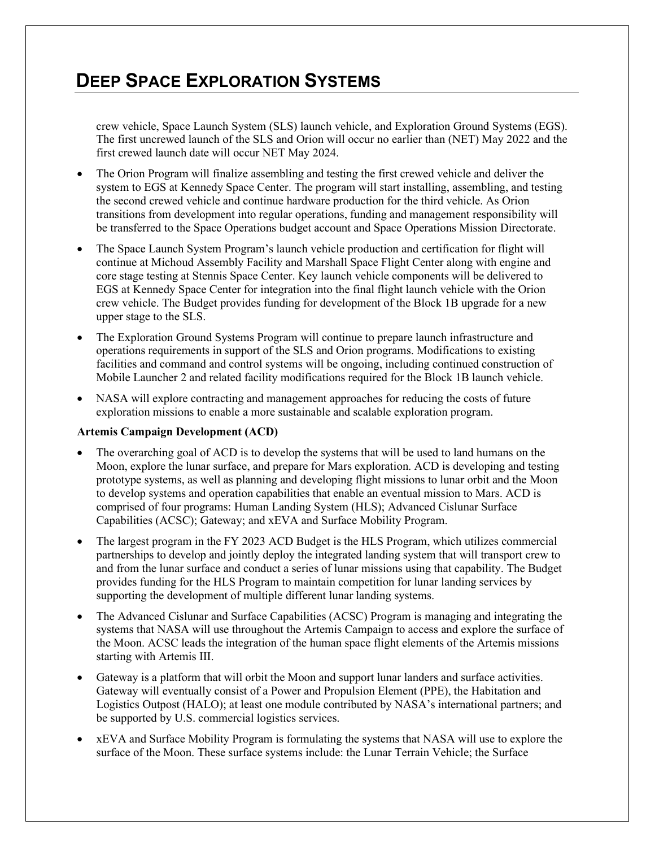## **DEEP SPACE EXPLORATION SYSTEMS**

crew vehicle, Space Launch System (SLS) launch vehicle, and Exploration Ground Systems (EGS). The first uncrewed launch of the SLS and Orion will occur no earlier than (NET) May 2022 and the first crewed launch date will occur NET May 2024.

- The Orion Program will finalize assembling and testing the first crewed vehicle and deliver the system to EGS at Kennedy Space Center. The program will start installing, assembling, and testing the second crewed vehicle and continue hardware production for the third vehicle. As Orion transitions from development into regular operations, funding and management responsibility will be transferred to the Space Operations budget account and Space Operations Mission Directorate.
- The Space Launch System Program's launch vehicle production and certification for flight will continue at Michoud Assembly Facility and Marshall Space Flight Center along with engine and core stage testing at Stennis Space Center. Key launch vehicle components will be delivered to EGS at Kennedy Space Center for integration into the final flight launch vehicle with the Orion crew vehicle. The Budget provides funding for development of the Block 1B upgrade for a new upper stage to the SLS.
- The Exploration Ground Systems Program will continue to prepare launch infrastructure and operations requirements in support of the SLS and Orion programs. Modifications to existing facilities and command and control systems will be ongoing, including continued construction of Mobile Launcher 2 and related facility modifications required for the Block 1B launch vehicle.
- NASA will explore contracting and management approaches for reducing the costs of future exploration missions to enable a more sustainable and scalable exploration program.

#### **Artemis Campaign Development (ACD)**

- The overarching goal of ACD is to develop the systems that will be used to land humans on the Moon, explore the lunar surface, and prepare for Mars exploration. ACD is developing and testing prototype systems, as well as planning and developing flight missions to lunar orbit and the Moon to develop systems and operation capabilities that enable an eventual mission to Mars. ACD is comprised of four programs: Human Landing System (HLS); Advanced Cislunar Surface Capabilities (ACSC); Gateway; and xEVA and Surface Mobility Program.
- The largest program in the FY 2023 ACD Budget is the HLS Program, which utilizes commercial partnerships to develop and jointly deploy the integrated landing system that will transport crew to and from the lunar surface and conduct a series of lunar missions using that capability. The Budget provides funding for the HLS Program to maintain competition for lunar landing services by supporting the development of multiple different lunar landing systems.
- The Advanced Cislunar and Surface Capabilities (ACSC) Program is managing and integrating the systems that NASA will use throughout the Artemis Campaign to access and explore the surface of the Moon. ACSC leads the integration of the human space flight elements of the Artemis missions starting with Artemis III.
- Gateway is a platform that will orbit the Moon and support lunar landers and surface activities. Gateway will eventually consist of a Power and Propulsion Element (PPE), the Habitation and Logistics Outpost (HALO); at least one module contributed by NASA's international partners; and be supported by U.S. commercial logistics services.
- xEVA and Surface Mobility Program is formulating the systems that NASA will use to explore the surface of the Moon. These surface systems include: the Lunar Terrain Vehicle; the Surface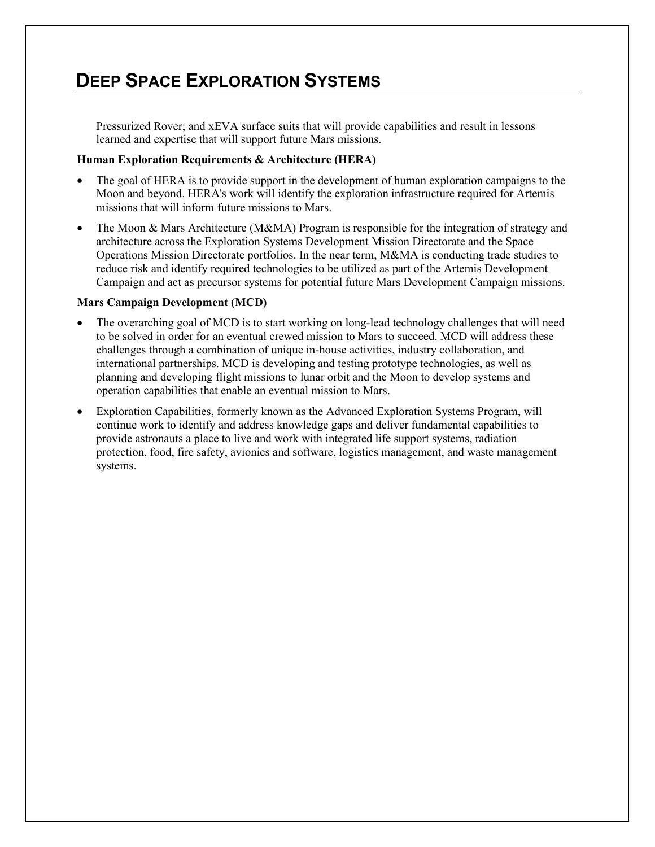## **DEEP SPACE EXPLORATION SYSTEMS**

Pressurized Rover; and xEVA surface suits that will provide capabilities and result in lessons learned and expertise that will support future Mars missions.

#### **Human Exploration Requirements & Architecture (HERA)**

- The goal of HERA is to provide support in the development of human exploration campaigns to the Moon and beyond. HERA's work will identify the exploration infrastructure required for Artemis missions that will inform future missions to Mars.
- The Moon & Mars Architecture (M&MA) Program is responsible for the integration of strategy and architecture across the Exploration Systems Development Mission Directorate and the Space Operations Mission Directorate portfolios. In the near term, M&MA is conducting trade studies to reduce risk and identify required technologies to be utilized as part of the Artemis Development Campaign and act as precursor systems for potential future Mars Development Campaign missions.

#### **Mars Campaign Development (MCD)**

- The overarching goal of MCD is to start working on long-lead technology challenges that will need to be solved in order for an eventual crewed mission to Mars to succeed. MCD will address these challenges through a combination of unique in-house activities, industry collaboration, and international partnerships. MCD is developing and testing prototype technologies, as well as planning and developing flight missions to lunar orbit and the Moon to develop systems and operation capabilities that enable an eventual mission to Mars.
- Exploration Capabilities, formerly known as the Advanced Exploration Systems Program, will continue work to identify and address knowledge gaps and deliver fundamental capabilities to provide astronauts a place to live and work with integrated life support systems, radiation protection, food, fire safety, avionics and software, logistics management, and waste management systems.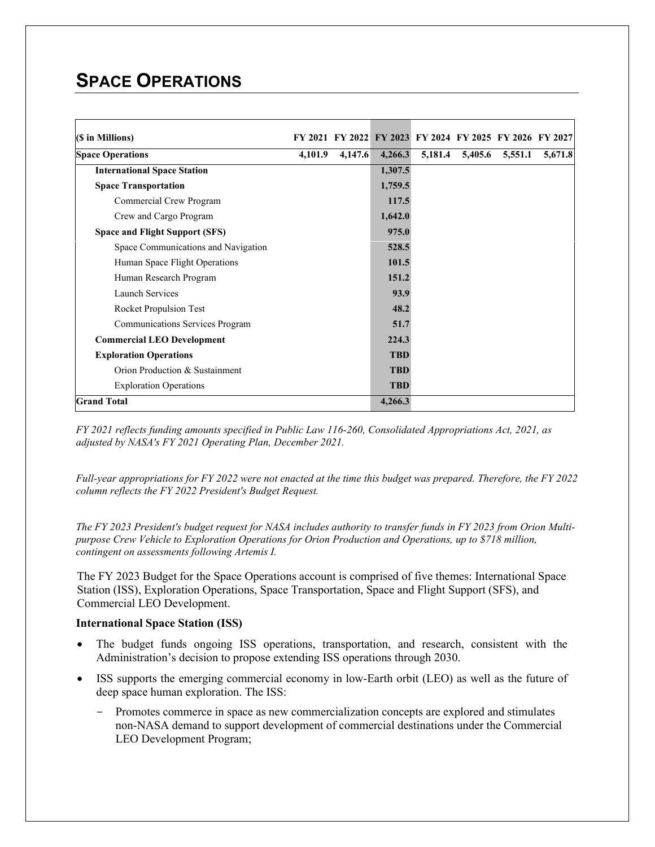# **SPACE OPERATIONS**

| (\$ in Millions)                       |         | FY 2021 FY 2022 FY 2023 FY 2024 FY 2025 FY 2026 FY 2027 |            |         |         |         |         |
|----------------------------------------|---------|---------------------------------------------------------|------------|---------|---------|---------|---------|
| <b>Space Operations</b>                | 4,101.9 | 4,147.6                                                 | 4,266.3    | 5,181.4 | 5,405.6 | 5,551.1 | 5,671.8 |
| <b>International Space Station</b>     |         |                                                         | 1,307.5    |         |         |         |         |
| <b>Space Transportation</b>            |         |                                                         | 1,759.5    |         |         |         |         |
| Commercial Crew Program                |         |                                                         | 117.5      |         |         |         |         |
| Crew and Cargo Program                 |         |                                                         | 1,642.0    |         |         |         |         |
| <b>Space and Flight Support (SFS)</b>  |         |                                                         | 975.0      |         |         |         |         |
| Space Communications and Navigation    |         |                                                         | 528.5      |         |         |         |         |
| Human Space Flight Operations          |         |                                                         | 101.5      |         |         |         |         |
| Human Research Program                 |         |                                                         | 151.2      |         |         |         |         |
| <b>Launch Services</b>                 |         |                                                         | 93.9       |         |         |         |         |
| Rocket Propulsion Test                 |         |                                                         | 48.2       |         |         |         |         |
| <b>Communications Services Program</b> |         |                                                         | 51.7       |         |         |         |         |
| <b>Commercial LEO Development</b>      |         |                                                         | 224.3      |         |         |         |         |
| <b>Exploration Operations</b>          |         |                                                         | <b>TBD</b> |         |         |         |         |
| Orion Production & Sustainment         |         |                                                         | <b>TBD</b> |         |         |         |         |
| <b>Exploration Operations</b>          |         |                                                         | <b>TBD</b> |         |         |         |         |
| <b>Grand Total</b>                     |         |                                                         | 4,266.3    |         |         |         |         |

*FY 2021 reflects funding amounts specified in Public Law 116-260, Consolidated Appropriations Act, 2021, as adjusted by NASA's FY 2021 Operating Plan, December 2021.*

*Full-year appropriations for FY 2022 were not enacted at the time this budget was prepared. Therefore, the FY 2022 column reflects the FY 2022 President's Budget Request.*

*The FY 2023 President's budget request for NASA includes authority to transfer funds in FY 2023 from Orion Multipurpose Crew Vehicle to Exploration Operations for Orion Production and Operations, up to \$718 million, contingent on assessments following Artemis I.*

The FY 2023 Budget for the Space Operations account is comprised of five themes: International Space Station (ISS), Exploration Operations, Space Transportation, Space and Flight Support (SFS), and Commercial LEO Development.

#### **International Space Station (ISS)**

- The budget funds ongoing ISS operations, transportation, and research, consistent with the Administration's decision to propose extending ISS operations through 2030.
- ISS supports the emerging commercial economy in low-Earth orbit (LEO) as well as the future of deep space human exploration. The ISS:
	- Promotes commerce in space as new commercialization concepts are explored and stimulates non-NASA demand to support development of commercial destinations under the Commercial LEO Development Program;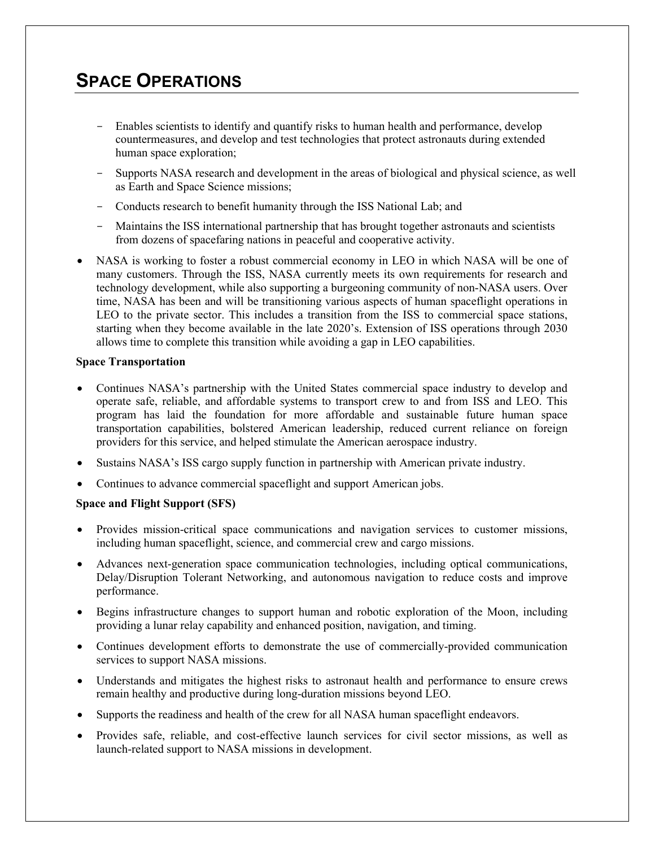## **SPACE OPERATIONS**

- Enables scientists to identify and quantify risks to human health and performance, develop countermeasures, and develop and test technologies that protect astronauts during extended human space exploration;
- Supports NASA research and development in the areas of biological and physical science, as well as Earth and Space Science missions;
- Conducts research to benefit humanity through the ISS National Lab; and
- Maintains the ISS international partnership that has brought together astronauts and scientists from dozens of spacefaring nations in peaceful and cooperative activity.
- NASA is working to foster a robust commercial economy in LEO in which NASA will be one of many customers. Through the ISS, NASA currently meets its own requirements for research and technology development, while also supporting a burgeoning community of non-NASA users. Over time, NASA has been and will be transitioning various aspects of human spaceflight operations in LEO to the private sector. This includes a transition from the ISS to commercial space stations, starting when they become available in the late 2020's. Extension of ISS operations through 2030 allows time to complete this transition while avoiding a gap in LEO capabilities.

#### **Space Transportation**

- Continues NASA's partnership with the United States commercial space industry to develop and operate safe, reliable, and affordable systems to transport crew to and from ISS and LEO. This program has laid the foundation for more affordable and sustainable future human space transportation capabilities, bolstered American leadership, reduced current reliance on foreign providers for this service, and helped stimulate the American aerospace industry.
- Sustains NASA's ISS cargo supply function in partnership with American private industry.
- Continues to advance commercial spaceflight and support American jobs.

#### **Space and Flight Support (SFS)**

- Provides mission-critical space communications and navigation services to customer missions, including human spaceflight, science, and commercial crew and cargo missions.
- Advances next-generation space communication technologies, including optical communications, Delay/Disruption Tolerant Networking, and autonomous navigation to reduce costs and improve performance.
- Begins infrastructure changes to support human and robotic exploration of the Moon, including providing a lunar relay capability and enhanced position, navigation, and timing.
- Continues development efforts to demonstrate the use of commercially-provided communication services to support NASA missions.
- Understands and mitigates the highest risks to astronaut health and performance to ensure crews remain healthy and productive during long-duration missions beyond LEO.
- Supports the readiness and health of the crew for all NASA human spaceflight endeavors.
- Provides safe, reliable, and cost-effective launch services for civil sector missions, as well as launch-related support to NASA missions in development.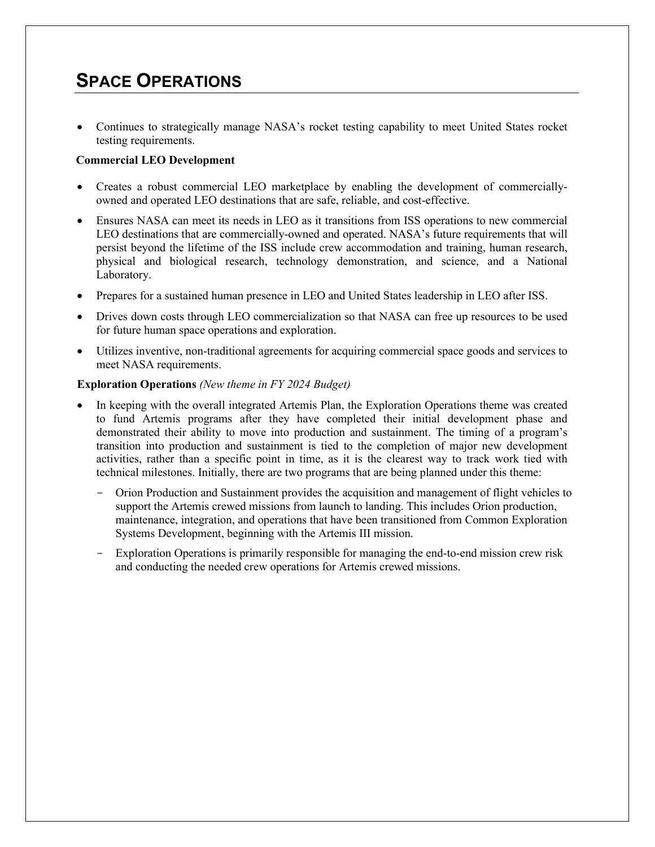## **SPACE OPERATIONS**

• Continues to strategically manage NASA's rocket testing capability to meet United States rocket testing requirements.

#### **Commercial LEO Development**

- Creates a robust commercial LEO marketplace by enabling the development of commerciallyowned and operated LEO destinations that are safe, reliable, and cost-effective.
- Ensures NASA can meet its needs in LEO as it transitions from ISS operations to new commercial LEO destinations that are commercially-owned and operated. NASA's future requirements that will persist beyond the lifetime of the ISS include crew accommodation and training, human research, physical and biological research, technology demonstration, and science, and a National Laboratory.
- Prepares for a sustained human presence in LEO and United States leadership in LEO after ISS.
- Drives down costs through LEO commercialization so that NASA can free up resources to be used for future human space operations and exploration.
- Utilizes inventive, non-traditional agreements for acquiring commercial space goods and services to meet NASA requirements.

#### **Exploration Operations** *(New theme in FY 2024 Budget)*

- In keeping with the overall integrated Artemis Plan, the Exploration Operations theme was created to fund Artemis programs after they have completed their initial development phase and demonstrated their ability to move into production and sustainment. The timing of a program's transition into production and sustainment is tied to the completion of major new development activities, rather than a specific point in time, as it is the clearest way to track work tied with technical milestones. Initially, there are two programs that are being planned under this theme:
	- Orion Production and Sustainment provides the acquisition and management of flight vehicles to support the Artemis crewed missions from launch to landing. This includes Orion production, maintenance, integration, and operations that have been transitioned from Common Exploration Systems Development, beginning with the Artemis III mission.
	- Exploration Operations is primarily responsible for managing the end-to-end mission crew risk and conducting the needed crew operations for Artemis crewed missions.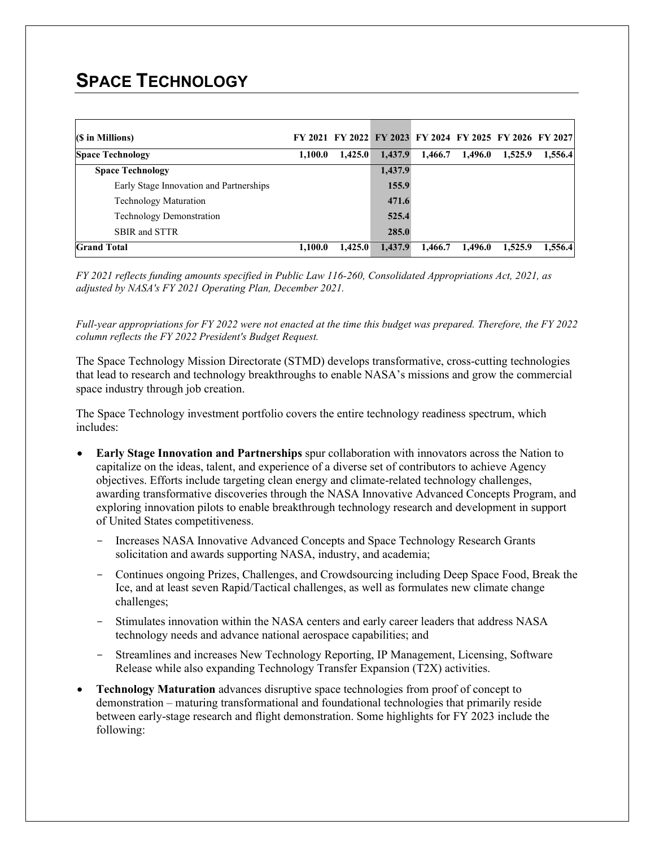# **SPACE TECHNOLOGY**

| (\$ in Millions)                        |         |         |         | FY 2021 FY 2022 FY 2023 FY 2024 FY 2025 FY 2026 FY 2027 |         |         |         |
|-----------------------------------------|---------|---------|---------|---------------------------------------------------------|---------|---------|---------|
| <b>Space Technology</b>                 | 1,100.0 | 1,425.0 | 1,437.9 | 1,466.7                                                 | 1,496.0 | 1,525.9 | 1,556.4 |
| <b>Space Technology</b>                 |         |         | 1,437.9 |                                                         |         |         |         |
| Early Stage Innovation and Partnerships |         |         | 155.9   |                                                         |         |         |         |
| <b>Technology Maturation</b>            |         |         | 471.6   |                                                         |         |         |         |
| Technology Demonstration                |         |         | 525.4   |                                                         |         |         |         |
| SBIR and STTR                           |         |         | 285.0   |                                                         |         |         |         |
| <b>Grand Total</b>                      | 1,100.0 | 1,425.0 | 1,437.9 | 1,466.7                                                 | 1,496.0 | 1,525.9 | 1,556.4 |

*FY 2021 reflects funding amounts specified in Public Law 116-260, Consolidated Appropriations Act, 2021, as adjusted by NASA's FY 2021 Operating Plan, December 2021.*

*Full-year appropriations for FY 2022 were not enacted at the time this budget was prepared. Therefore, the FY 2022 column reflects the FY 2022 President's Budget Request.*

The Space Technology Mission Directorate (STMD) develops transformative, cross-cutting technologies that lead to research and technology breakthroughs to enable NASA's missions and grow the commercial space industry through job creation.

The Space Technology investment portfolio covers the entire technology readiness spectrum, which includes:

- **Early Stage Innovation and Partnerships** spur collaboration with innovators across the Nation to capitalize on the ideas, talent, and experience of a diverse set of contributors to achieve Agency objectives. Efforts include targeting clean energy and climate-related technology challenges, awarding transformative discoveries through the NASA Innovative Advanced Concepts Program, and exploring innovation pilots to enable breakthrough technology research and development in support of United States competitiveness.
	- Increases NASA Innovative Advanced Concepts and Space Technology Research Grants solicitation and awards supporting NASA, industry, and academia;
	- Continues ongoing Prizes, Challenges, and Crowdsourcing including Deep Space Food, Break the Ice, and at least seven Rapid/Tactical challenges, as well as formulates new climate change challenges;
	- Stimulates innovation within the NASA centers and early career leaders that address NASA technology needs and advance national aerospace capabilities; and
	- Streamlines and increases New Technology Reporting, IP Management, Licensing, Software Release while also expanding Technology Transfer Expansion (T2X) activities.
- **Technology Maturation** advances disruptive space technologies from proof of concept to demonstration – maturing transformational and foundational technologies that primarily reside between early-stage research and flight demonstration. Some highlights for FY 2023 include the following: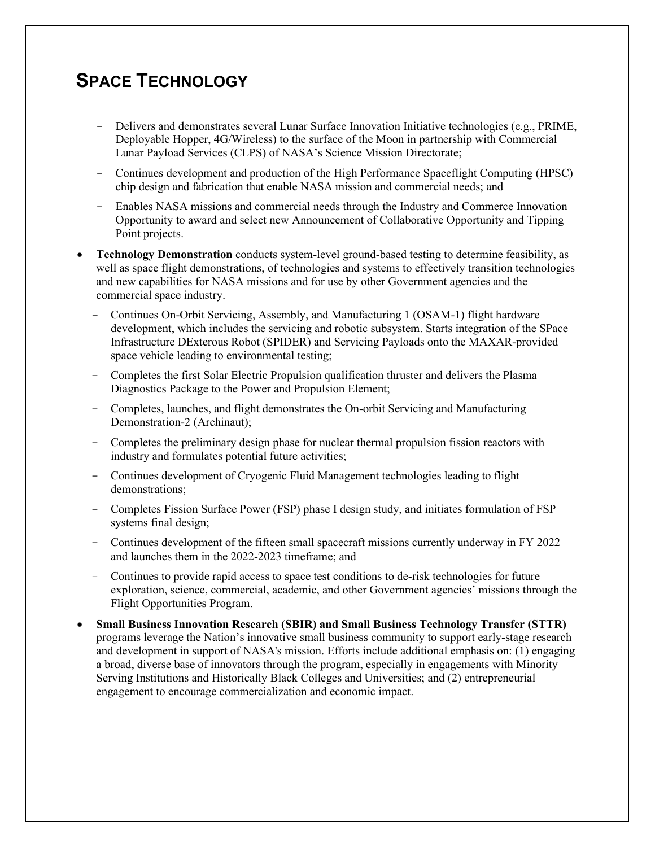# **SPACE TECHNOLOGY**

- Delivers and demonstrates several Lunar Surface Innovation Initiative technologies (e.g., PRIME, Deployable Hopper, 4G/Wireless) to the surface of the Moon in partnership with Commercial Lunar Payload Services (CLPS) of NASA's Science Mission Directorate;
- Continues development and production of the High Performance Spaceflight Computing (HPSC) chip design and fabrication that enable NASA mission and commercial needs; and
- Enables NASA missions and commercial needs through the Industry and Commerce Innovation Opportunity to award and select new Announcement of Collaborative Opportunity and Tipping Point projects.
- **Technology Demonstration** conducts system-level ground-based testing to determine feasibility, as well as space flight demonstrations, of technologies and systems to effectively transition technologies and new capabilities for NASA missions and for use by other Government agencies and the commercial space industry.
	- Continues On-Orbit Servicing, Assembly, and Manufacturing 1 (OSAM-1) flight hardware development, which includes the servicing and robotic subsystem. Starts integration of the SPace Infrastructure DExterous Robot (SPIDER) and Servicing Payloads onto the MAXAR-provided space vehicle leading to environmental testing;
	- Completes the first Solar Electric Propulsion qualification thruster and delivers the Plasma Diagnostics Package to the Power and Propulsion Element;
	- Completes, launches, and flight demonstrates the On-orbit Servicing and Manufacturing Demonstration-2 (Archinaut);
	- Completes the preliminary design phase for nuclear thermal propulsion fission reactors with industry and formulates potential future activities;
	- Continues development of Cryogenic Fluid Management technologies leading to flight demonstrations;
	- Completes Fission Surface Power (FSP) phase I design study, and initiates formulation of FSP systems final design;
	- Continues development of the fifteen small spacecraft missions currently underway in FY 2022 and launches them in the 2022-2023 timeframe; and
	- Continues to provide rapid access to space test conditions to de-risk technologies for future exploration, science, commercial, academic, and other Government agencies' missions through the Flight Opportunities Program.
- **Small Business Innovation Research (SBIR) and Small Business Technology Transfer (STTR)** programs leverage the Nation's innovative small business community to support early-stage research and development in support of NASA's mission. Efforts include additional emphasis on: (1) engaging a broad, diverse base of innovators through the program, especially in engagements with Minority Serving Institutions and Historically Black Colleges and Universities; and (2) entrepreneurial engagement to encourage commercialization and economic impact.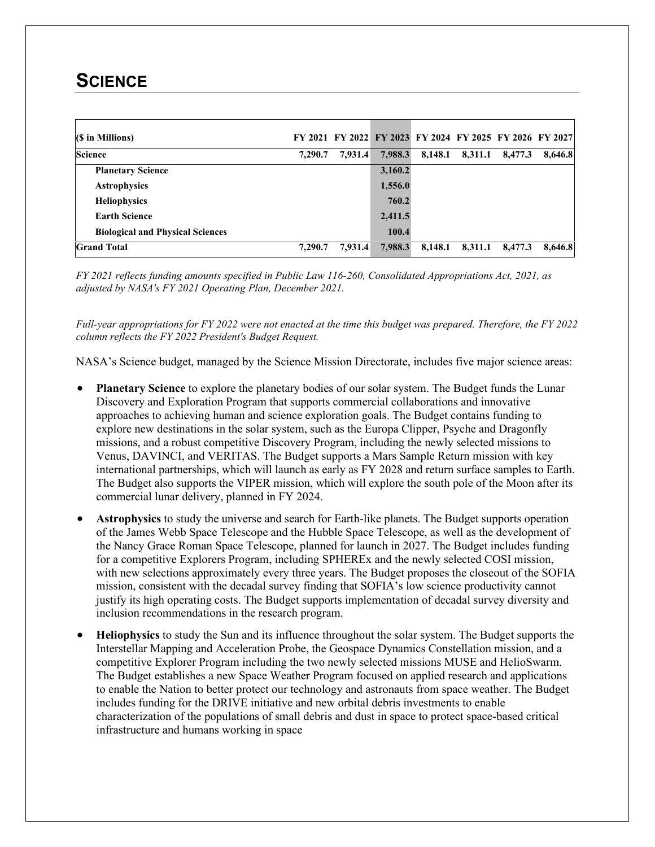### **SCIENCE**

| (\$ in Millions)                        |         |         | FY 2021 FY 2022 FY 2023 FY 2024 FY 2025 FY 2026 FY 2027 |         |         |         |         |
|-----------------------------------------|---------|---------|---------------------------------------------------------|---------|---------|---------|---------|
| <b>Science</b>                          | 7,290.7 | 7,931.4 | 7,988.3                                                 | 8,148.1 | 8,311.1 | 8,477.3 | 8,646.8 |
| <b>Planetary Science</b>                |         |         | 3,160.2                                                 |         |         |         |         |
| <b>Astrophysics</b>                     |         |         | 1,556.0                                                 |         |         |         |         |
| <b>Heliophysics</b>                     |         |         | 760.2                                                   |         |         |         |         |
| <b>Earth Science</b>                    |         |         | 2,411.5                                                 |         |         |         |         |
| <b>Biological and Physical Sciences</b> |         |         | 100.4                                                   |         |         |         |         |
| <b>Grand Total</b>                      | 7,290.7 | 7,931.4 | 7,988.3                                                 | 8,148.1 | 8,311.1 | 8,477.3 | 8,646.8 |

*FY 2021 reflects funding amounts specified in Public Law 116-260, Consolidated Appropriations Act, 2021, as adjusted by NASA's FY 2021 Operating Plan, December 2021.*

*Full-year appropriations for FY 2022 were not enacted at the time this budget was prepared. Therefore, the FY 2022 column reflects the FY 2022 President's Budget Request.*

NASA's Science budget, managed by the Science Mission Directorate, includes five major science areas:

- **Planetary Science** to explore the planetary bodies of our solar system. The Budget funds the Lunar Discovery and Exploration Program that supports commercial collaborations and innovative approaches to achieving human and science exploration goals. The Budget contains funding to explore new destinations in the solar system, such as the Europa Clipper, Psyche and Dragonfly missions, and a robust competitive Discovery Program, including the newly selected missions to Venus, DAVINCI, and VERITAS. The Budget supports a Mars Sample Return mission with key international partnerships, which will launch as early as FY 2028 and return surface samples to Earth. The Budget also supports the VIPER mission, which will explore the south pole of the Moon after its commercial lunar delivery, planned in FY 2024.
- **Astrophysics** to study the universe and search for Earth-like planets. The Budget supports operation of the James Webb Space Telescope and the Hubble Space Telescope, as well as the development of the Nancy Grace Roman Space Telescope, planned for launch in 2027. The Budget includes funding for a competitive Explorers Program, including SPHEREx and the newly selected COSI mission, with new selections approximately every three years. The Budget proposes the closeout of the SOFIA mission, consistent with the decadal survey finding that SOFIA's low science productivity cannot justify its high operating costs. The Budget supports implementation of decadal survey diversity and inclusion recommendations in the research program.
- **Heliophysics** to study the Sun and its influence throughout the solar system. The Budget supports the Interstellar Mapping and Acceleration Probe, the Geospace Dynamics Constellation mission, and a competitive Explorer Program including the two newly selected missions MUSE and HelioSwarm. The Budget establishes a new Space Weather Program focused on applied research and applications to enable the Nation to better protect our technology and astronauts from space weather. The Budget includes funding for the DRIVE initiative and new orbital debris investments to enable characterization of the populations of small debris and dust in space to protect space-based critical infrastructure and humans working in space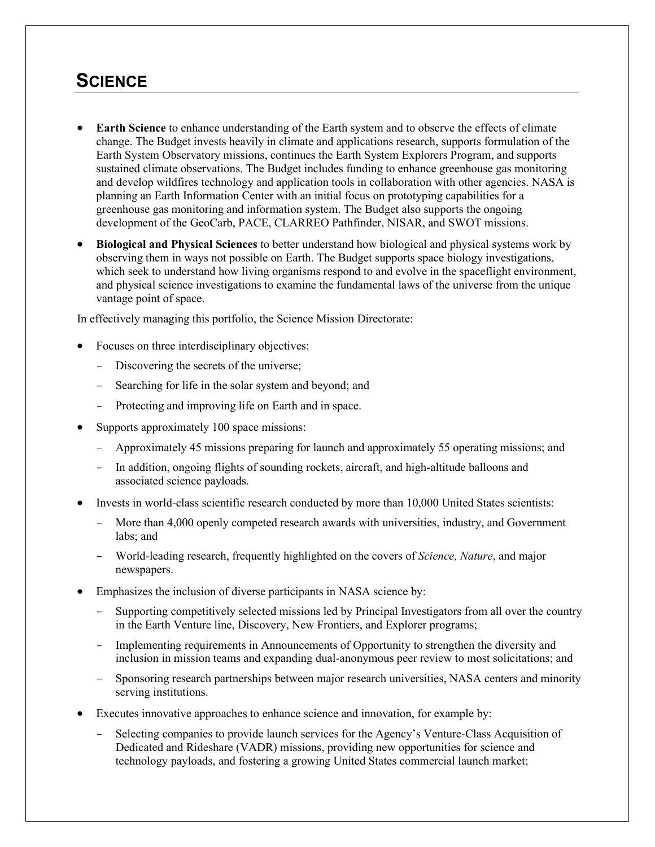### **SCIENCE**

- **Earth Science** to enhance understanding of the Earth system and to observe the effects of climate change. The Budget invests heavily in climate and applications research, supports formulation of the Earth System Observatory missions, continues the Earth System Explorers Program, and supports sustained climate observations. The Budget includes funding to enhance greenhouse gas monitoring and develop wildfires technology and application tools in collaboration with other agencies. NASA is planning an Earth Information Center with an initial focus on prototyping capabilities for a greenhouse gas monitoring and information system. The Budget also supports the ongoing development of the GeoCarb, PACE, CLARREO Pathfinder, NISAR, and SWOT missions.
- **Biological and Physical Sciences** to better understand how biological and physical systems work by observing them in ways not possible on Earth. The Budget supports space biology investigations, which seek to understand how living organisms respond to and evolve in the spaceflight environment, and physical science investigations to examine the fundamental laws of the universe from the unique vantage point of space.

In effectively managing this portfolio, the Science Mission Directorate:

- Focuses on three interdisciplinary objectives:
	- Discovering the secrets of the universe;
	- Searching for life in the solar system and beyond; and
	- Protecting and improving life on Earth and in space.
- Supports approximately 100 space missions:
	- Approximately 45 missions preparing for launch and approximately 55 operating missions; and
	- In addition, ongoing flights of sounding rockets, aircraft, and high-altitude balloons and associated science payloads.
- Invests in world-class scientific research conducted by more than 10,000 United States scientists:
	- More than 4,000 openly competed research awards with universities, industry, and Government labs; and
	- World-leading research, frequently highlighted on the covers of *Science, Nature*, and major newspapers.
- Emphasizes the inclusion of diverse participants in NASA science by:
	- Supporting competitively selected missions led by Principal Investigators from all over the country in the Earth Venture line, Discovery, New Frontiers, and Explorer programs;
	- Implementing requirements in Announcements of Opportunity to strengthen the diversity and inclusion in mission teams and expanding dual-anonymous peer review to most solicitations; and
	- Sponsoring research partnerships between major research universities, NASA centers and minority serving institutions.
- Executes innovative approaches to enhance science and innovation, for example by:
	- Selecting companies to provide launch services for the Agency's Venture-Class Acquisition of Dedicated and Rideshare (VADR) missions, providing new opportunities for science and technology payloads, and fostering a growing United States commercial launch market;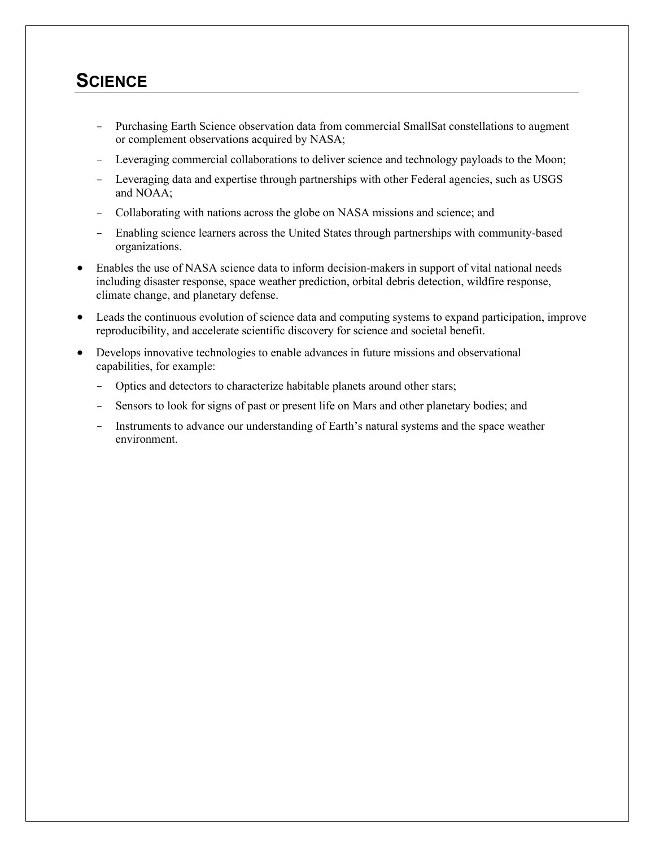### **SCIENCE**

- Purchasing Earth Science observation data from commercial SmallSat constellations to augment or complement observations acquired by NASA;
- Leveraging commercial collaborations to deliver science and technology payloads to the Moon;
- Leveraging data and expertise through partnerships with other Federal agencies, such as USGS and NOAA;
- Collaborating with nations across the globe on NASA missions and science; and
- Enabling science learners across the United States through partnerships with community-based organizations.
- Enables the use of NASA science data to inform decision-makers in support of vital national needs including disaster response, space weather prediction, orbital debris detection, wildfire response, climate change, and planetary defense.
- Leads the continuous evolution of science data and computing systems to expand participation, improve reproducibility, and accelerate scientific discovery for science and societal benefit.
- Develops innovative technologies to enable advances in future missions and observational capabilities, for example:
	- Optics and detectors to characterize habitable planets around other stars;
	- Sensors to look for signs of past or present life on Mars and other planetary bodies; and
	- Instruments to advance our understanding of Earth's natural systems and the space weather environment.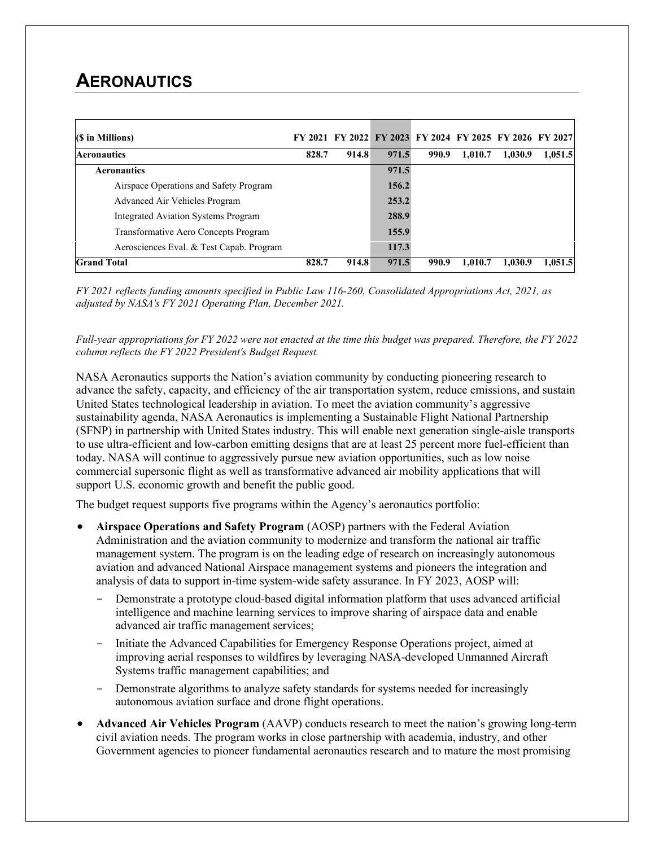## **AERONAUTICS**

| (\$ in Millions)                           |       |       |       | FY 2021 FY 2022 FY 2023 FY 2024 FY 2025 FY 2026 FY 2027 |         |         |         |
|--------------------------------------------|-------|-------|-------|---------------------------------------------------------|---------|---------|---------|
| <b>Aeronautics</b>                         | 828.7 | 914.8 | 971.5 | 990.9                                                   | 1,010.7 | 1,030.9 | 1,051.5 |
| <b>Aeronautics</b>                         |       |       | 971.5 |                                                         |         |         |         |
| Airspace Operations and Safety Program     |       |       | 156.2 |                                                         |         |         |         |
| Advanced Air Vehicles Program              |       |       | 253.2 |                                                         |         |         |         |
| <b>Integrated Aviation Systems Program</b> |       |       | 288.9 |                                                         |         |         |         |
| Transformative Aero Concepts Program       |       |       | 155.9 |                                                         |         |         |         |
| Aerosciences Eval. & Test Capab. Program   |       |       | 117.3 |                                                         |         |         |         |
| <b>Grand Total</b>                         | 828.7 | 914.8 | 971.5 | 990.9                                                   | 1.010.7 | 1,030.9 | 1,051.5 |

*FY 2021 reflects funding amounts specified in Public Law 116-260, Consolidated Appropriations Act, 2021, as adjusted by NASA's FY 2021 Operating Plan, December 2021.*

*Full-year appropriations for FY 2022 were not enacted at the time this budget was prepared. Therefore, the FY 2022 column reflects the FY 2022 President's Budget Request.*

NASA Aeronautics supports the Nation's aviation community by conducting pioneering research to advance the safety, capacity, and efficiency of the air transportation system, reduce emissions, and sustain United States technological leadership in aviation. To meet the aviation community's aggressive sustainability agenda, NASA Aeronautics is implementing a Sustainable Flight National Partnership (SFNP) in partnership with United States industry. This will enable next generation single-aisle transports to use ultra-efficient and low-carbon emitting designs that are at least 25 percent more fuel-efficient than today. NASA will continue to aggressively pursue new aviation opportunities, such as low noise commercial supersonic flight as well as transformative advanced air mobility applications that will support U.S. economic growth and benefit the public good.

The budget request supports five programs within the Agency's aeronautics portfolio:

- **Airspace Operations and Safety Program** (AOSP) partners with the Federal Aviation Administration and the aviation community to modernize and transform the national air traffic management system. The program is on the leading edge of research on increasingly autonomous aviation and advanced National Airspace management systems and pioneers the integration and analysis of data to support in-time system-wide safety assurance. In FY 2023, AOSP will:
	- Demonstrate a prototype cloud-based digital information platform that uses advanced artificial intelligence and machine learning services to improve sharing of airspace data and enable advanced air traffic management services;
	- Initiate the Advanced Capabilities for Emergency Response Operations project, aimed at improving aerial responses to wildfires by leveraging NASA-developed Unmanned Aircraft Systems traffic management capabilities; and
	- Demonstrate algorithms to analyze safety standards for systems needed for increasingly autonomous aviation surface and drone flight operations.
- **Advanced Air Vehicles Program** (AAVP) conducts research to meet the nation's growing long-term civil aviation needs. The program works in close partnership with academia, industry, and other Government agencies to pioneer fundamental aeronautics research and to mature the most promising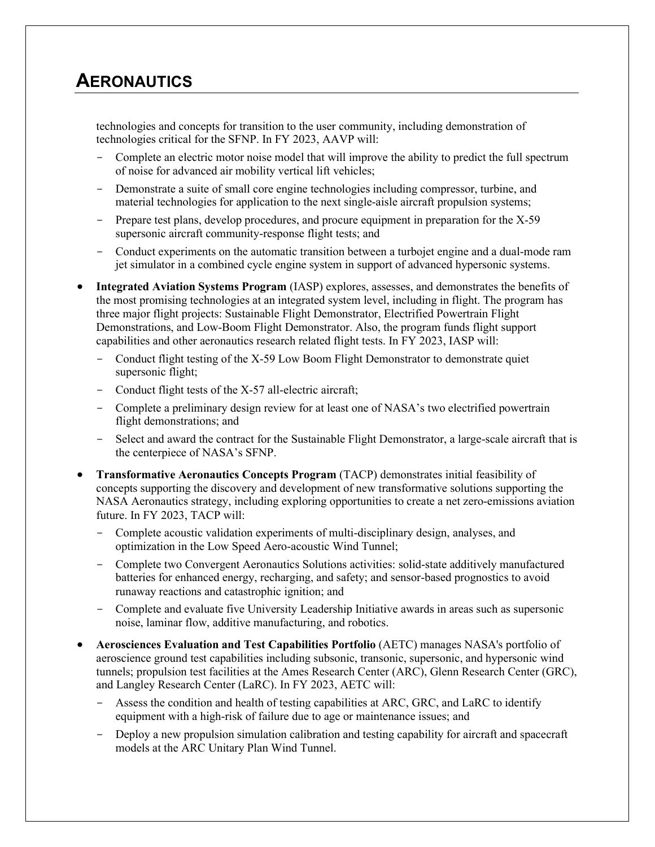### **AERONAUTICS**

technologies and concepts for transition to the user community, including demonstration of technologies critical for the SFNP. In FY 2023, AAVP will:

- Complete an electric motor noise model that will improve the ability to predict the full spectrum of noise for advanced air mobility vertical lift vehicles;
- Demonstrate a suite of small core engine technologies including compressor, turbine, and material technologies for application to the next single-aisle aircraft propulsion systems;
- Prepare test plans, develop procedures, and procure equipment in preparation for the X-59 supersonic aircraft community-response flight tests; and
- Conduct experiments on the automatic transition between a turbojet engine and a dual-mode ram jet simulator in a combined cycle engine system in support of advanced hypersonic systems.
- **Integrated Aviation Systems Program** (IASP) explores, assesses, and demonstrates the benefits of the most promising technologies at an integrated system level, including in flight. The program has three major flight projects: Sustainable Flight Demonstrator, Electrified Powertrain Flight Demonstrations, and Low-Boom Flight Demonstrator. Also, the program funds flight support capabilities and other aeronautics research related flight tests. In FY 2023, IASP will:
	- Conduct flight testing of the X-59 Low Boom Flight Demonstrator to demonstrate quiet supersonic flight;
	- Conduct flight tests of the X-57 all-electric aircraft;
	- Complete a preliminary design review for at least one of NASA's two electrified powertrain flight demonstrations; and
	- Select and award the contract for the Sustainable Flight Demonstrator, a large-scale aircraft that is the centerpiece of NASA's SFNP.
- **Transformative Aeronautics Concepts Program** (TACP) demonstrates initial feasibility of concepts supporting the discovery and development of new transformative solutions supporting the NASA Aeronautics strategy, including exploring opportunities to create a net zero-emissions aviation future. In FY 2023, TACP will:
	- Complete acoustic validation experiments of multi-disciplinary design, analyses, and optimization in the Low Speed Aero-acoustic Wind Tunnel;
	- Complete two Convergent Aeronautics Solutions activities: solid-state additively manufactured batteries for enhanced energy, recharging, and safety; and sensor-based prognostics to avoid runaway reactions and catastrophic ignition; and
	- Complete and evaluate five University Leadership Initiative awards in areas such as supersonic noise, laminar flow, additive manufacturing, and robotics.
- **Aerosciences Evaluation and Test Capabilities Portfolio** (AETC) manages NASA's portfolio of aeroscience ground test capabilities including subsonic, transonic, supersonic, and hypersonic wind tunnels; propulsion test facilities at the Ames Research Center (ARC), Glenn Research Center (GRC), and Langley Research Center (LaRC). In FY 2023, AETC will:
	- Assess the condition and health of testing capabilities at ARC, GRC, and LaRC to identify equipment with a high-risk of failure due to age or maintenance issues; and
	- Deploy a new propulsion simulation calibration and testing capability for aircraft and spacecraft models at the ARC Unitary Plan Wind Tunnel.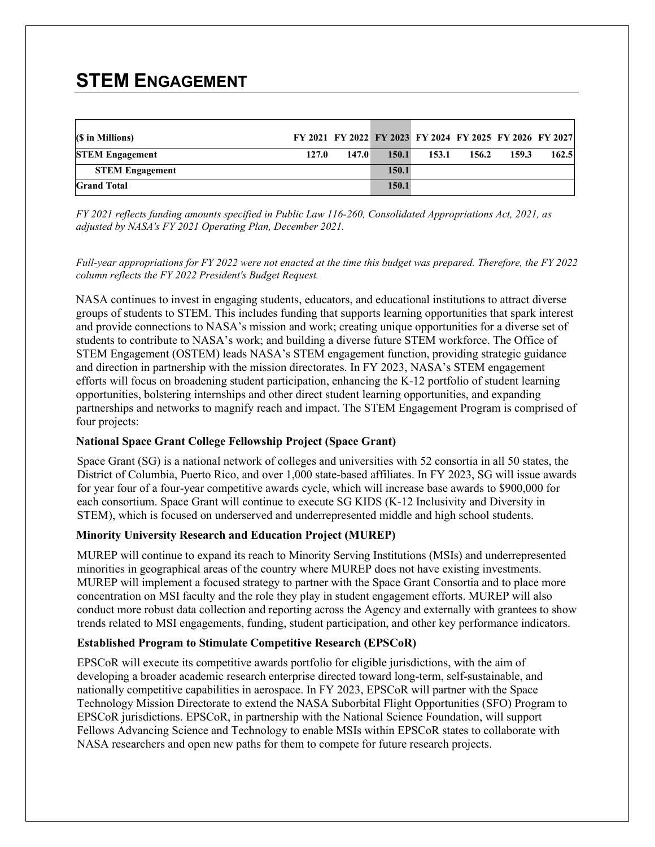# **STEM ENGAGEMENT**

| (\$ in Millions)       |       |       | FY 2021 FY 2022 FY 2023 FY 2024 FY 2025 FY 2026 FY 2027 |       |       |       |       |
|------------------------|-------|-------|---------------------------------------------------------|-------|-------|-------|-------|
| <b>STEM Engagement</b> | 127.0 | 147.0 | 150.1                                                   | 153.1 | 156.2 | 159.3 | 162.5 |
| <b>STEM Engagement</b> |       |       | 150.1                                                   |       |       |       |       |
| <b>Grand Total</b>     |       |       | 150.1                                                   |       |       |       |       |

*FY 2021 reflects funding amounts specified in Public Law 116-260, Consolidated Appropriations Act, 2021, as adjusted by NASA's FY 2021 Operating Plan, December 2021.*

*Full-year appropriations for FY 2022 were not enacted at the time this budget was prepared. Therefore, the FY 2022 column reflects the FY 2022 President's Budget Request.*

NASA continues to invest in engaging students, educators, and educational institutions to attract diverse groups of students to STEM. This includes funding that supports learning opportunities that spark interest and provide connections to NASA's mission and work; creating unique opportunities for a diverse set of students to contribute to NASA's work; and building a diverse future STEM workforce. The Office of STEM Engagement (OSTEM) leads NASA's STEM engagement function, providing strategic guidance and direction in partnership with the mission directorates. In FY 2023, NASA's STEM engagement efforts will focus on broadening student participation, enhancing the K-12 portfolio of student learning opportunities, bolstering internships and other direct student learning opportunities, and expanding partnerships and networks to magnify reach and impact. The STEM Engagement Program is comprised of four projects:

#### **National Space Grant College Fellowship Project (Space Grant)**

Space Grant (SG) is a national network of colleges and universities with 52 consortia in all 50 states, the District of Columbia, Puerto Rico, and over 1,000 state-based affiliates. In FY 2023, SG will issue awards for year four of a four-year competitive awards cycle, which will increase base awards to \$900,000 for each consortium. Space Grant will continue to execute SG KIDS (K-12 Inclusivity and Diversity in STEM), which is focused on underserved and underrepresented middle and high school students.

### **Minority University Research and Education Project (MUREP)**

MUREP will continue to expand its reach to Minority Serving Institutions (MSIs) and underrepresented minorities in geographical areas of the country where MUREP does not have existing investments. MUREP will implement a focused strategy to partner with the Space Grant Consortia and to place more concentration on MSI faculty and the role they play in student engagement efforts. MUREP will also conduct more robust data collection and reporting across the Agency and externally with grantees to show trends related to MSI engagements, funding, student participation, and other key performance indicators.

#### **Established Program to Stimulate Competitive Research (EPSCoR)**

EPSCoR will execute its competitive awards portfolio for eligible jurisdictions, with the aim of developing a broader academic research enterprise directed toward long-term, self-sustainable, and nationally competitive capabilities in aerospace. In FY 2023, EPSCoR will partner with the Space Technology Mission Directorate to extend the NASA Suborbital Flight Opportunities (SFO) Program to EPSCoR jurisdictions. EPSCoR, in partnership with the National Science Foundation, will support Fellows Advancing Science and Technology to enable MSIs within EPSCoR states to collaborate with NASA researchers and open new paths for them to compete for future research projects.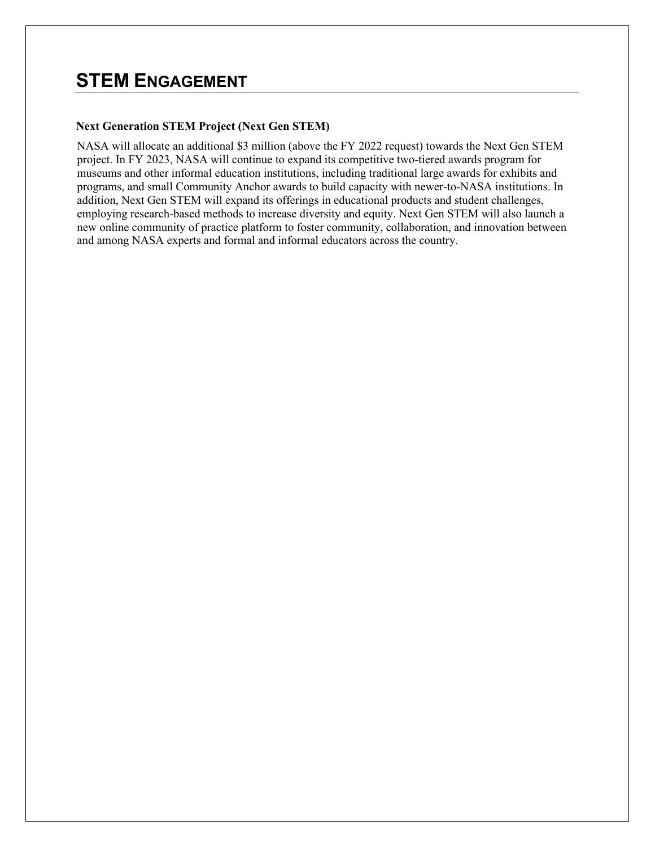## **STEM ENGAGEMENT**

#### **Next Generation STEM Project (Next Gen STEM)**

NASA will allocate an additional \$3 million (above the FY 2022 request) towards the Next Gen STEM project. In FY 2023, NASA will continue to expand its competitive two-tiered awards program for museums and other informal education institutions, including traditional large awards for exhibits and programs, and small Community Anchor awards to build capacity with newer-to-NASA institutions. In addition, Next Gen STEM will expand its offerings in educational products and student challenges, employing research-based methods to increase diversity and equity. Next Gen STEM will also launch a new online community of practice platform to foster community, collaboration, and innovation between and among NASA experts and formal and informal educators across the country.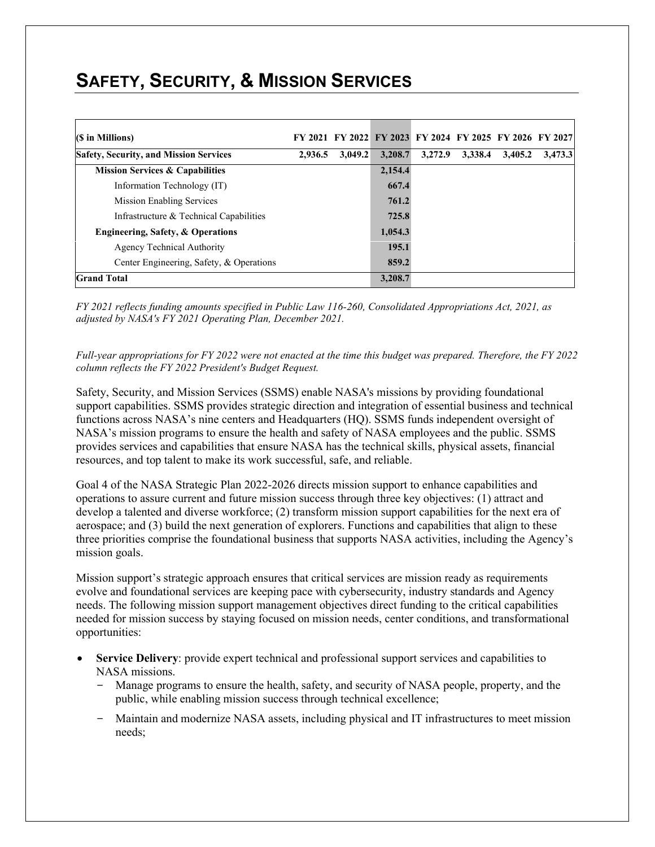| (\$ in Millions)                              |         |         | FY 2021 FY 2022 FY 2023 FY 2024 FY 2025 FY 2026 FY 2027 |         |         |         |         |
|-----------------------------------------------|---------|---------|---------------------------------------------------------|---------|---------|---------|---------|
| <b>Safety, Security, and Mission Services</b> | 2,936.5 | 3.049.2 | 3,208.7                                                 | 3,272.9 | 3.338.4 | 3,405.2 | 3,473,3 |
| <b>Mission Services &amp; Capabilities</b>    |         |         | 2,154.4                                                 |         |         |         |         |
| Information Technology (IT)                   |         |         | 667.4                                                   |         |         |         |         |
| <b>Mission Enabling Services</b>              |         |         | 761.2                                                   |         |         |         |         |
| Infrastructure & Technical Capabilities       |         |         | 725.8                                                   |         |         |         |         |
| Engineering, Safety, & Operations             |         |         | 1,054.3                                                 |         |         |         |         |
| <b>Agency Technical Authority</b>             |         |         | 195.1                                                   |         |         |         |         |
| Center Engineering, Safety, & Operations      |         |         | 859.2                                                   |         |         |         |         |
| <b>Grand Total</b>                            |         |         | 3,208.7                                                 |         |         |         |         |

*FY 2021 reflects funding amounts specified in Public Law 116-260, Consolidated Appropriations Act, 2021, as adjusted by NASA's FY 2021 Operating Plan, December 2021.*

*Full-year appropriations for FY 2022 were not enacted at the time this budget was prepared. Therefore, the FY 2022 column reflects the FY 2022 President's Budget Request.*

Safety, Security, and Mission Services (SSMS) enable NASA's missions by providing foundational support capabilities. SSMS provides strategic direction and integration of essential business and technical functions across NASA's nine centers and Headquarters (HQ). SSMS funds independent oversight of NASA's mission programs to ensure the health and safety of NASA employees and the public. SSMS provides services and capabilities that ensure NASA has the technical skills, physical assets, financial resources, and top talent to make its work successful, safe, and reliable.

Goal 4 of the NASA Strategic Plan 2022-2026 directs mission support to enhance capabilities and operations to assure current and future mission success through three key objectives: (1) attract and develop a talented and diverse workforce; (2) transform mission support capabilities for the next era of aerospace; and (3) build the next generation of explorers. Functions and capabilities that align to these three priorities comprise the foundational business that supports NASA activities, including the Agency's mission goals.

Mission support's strategic approach ensures that critical services are mission ready as requirements evolve and foundational services are keeping pace with cybersecurity, industry standards and Agency needs. The following mission support management objectives direct funding to the critical capabilities needed for mission success by staying focused on mission needs, center conditions, and transformational opportunities:

- Service Delivery: provide expert technical and professional support services and capabilities to NASA missions.
	- Manage programs to ensure the health, safety, and security of NASA people, property, and the public, while enabling mission success through technical excellence;
	- Maintain and modernize NASA assets, including physical and IT infrastructures to meet mission needs;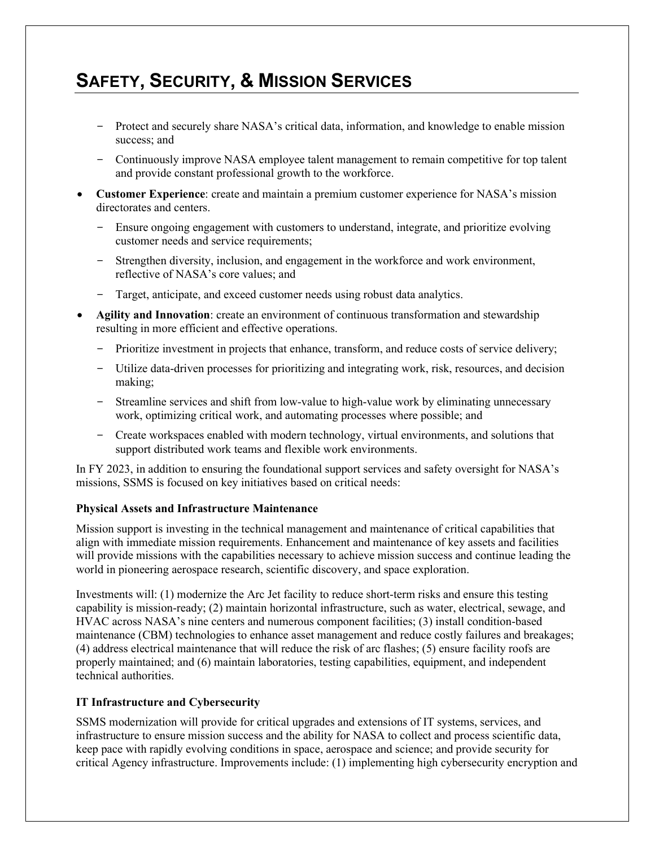- Protect and securely share NASA's critical data, information, and knowledge to enable mission success; and
- Continuously improve NASA employee talent management to remain competitive for top talent and provide constant professional growth to the workforce.
- **Customer Experience**: create and maintain a premium customer experience for NASA's mission directorates and centers.
	- Ensure ongoing engagement with customers to understand, integrate, and prioritize evolving customer needs and service requirements;
	- Strengthen diversity, inclusion, and engagement in the workforce and work environment, reflective of NASA's core values; and
	- Target, anticipate, and exceed customer needs using robust data analytics.
- **Agility and Innovation**: create an environment of continuous transformation and stewardship resulting in more efficient and effective operations.
	- Prioritize investment in projects that enhance, transform, and reduce costs of service delivery;
	- Utilize data-driven processes for prioritizing and integrating work, risk, resources, and decision making;
	- Streamline services and shift from low-value to high-value work by eliminating unnecessary work, optimizing critical work, and automating processes where possible; and
	- Create workspaces enabled with modern technology, virtual environments, and solutions that support distributed work teams and flexible work environments.

In FY 2023, in addition to ensuring the foundational support services and safety oversight for NASA's missions, SSMS is focused on key initiatives based on critical needs:

#### **Physical Assets and Infrastructure Maintenance**

Mission support is investing in the technical management and maintenance of critical capabilities that align with immediate mission requirements. Enhancement and maintenance of key assets and facilities will provide missions with the capabilities necessary to achieve mission success and continue leading the world in pioneering aerospace research, scientific discovery, and space exploration.

Investments will: (1) modernize the Arc Jet facility to reduce short-term risks and ensure this testing capability is mission-ready; (2) maintain horizontal infrastructure, such as water, electrical, sewage, and HVAC across NASA's nine centers and numerous component facilities; (3) install condition-based maintenance (CBM) technologies to enhance asset management and reduce costly failures and breakages; (4) address electrical maintenance that will reduce the risk of arc flashes; (5) ensure facility roofs are properly maintained; and (6) maintain laboratories, testing capabilities, equipment, and independent technical authorities.

### **IT Infrastructure and Cybersecurity**

SSMS modernization will provide for critical upgrades and extensions of IT systems, services, and infrastructure to ensure mission success and the ability for NASA to collect and process scientific data, keep pace with rapidly evolving conditions in space, aerospace and science; and provide security for critical Agency infrastructure. Improvements include: (1) implementing high cybersecurity encryption and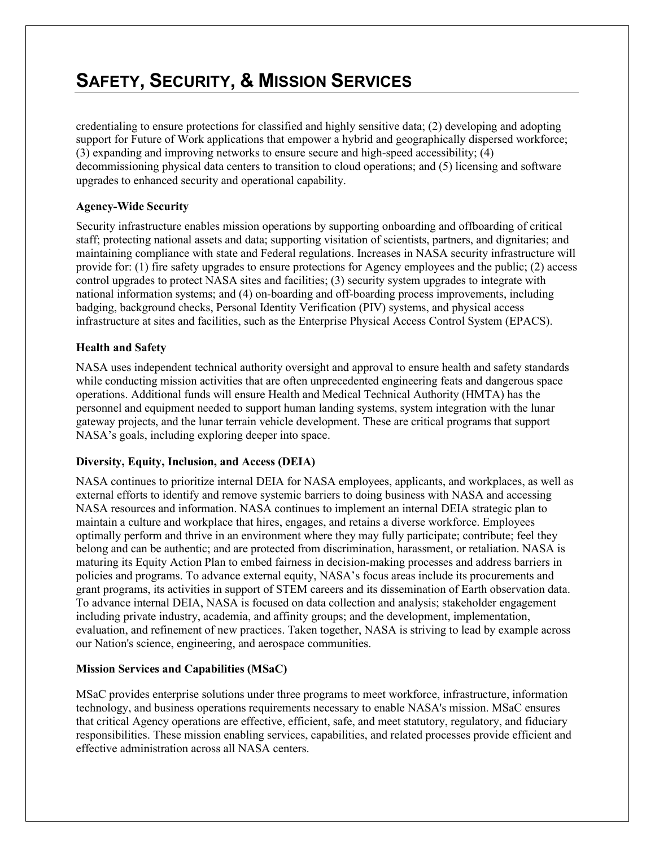credentialing to ensure protections for classified and highly sensitive data; (2) developing and adopting support for Future of Work applications that empower a hybrid and geographically dispersed workforce; (3) expanding and improving networks to ensure secure and high-speed accessibility; (4) decommissioning physical data centers to transition to cloud operations; and (5) licensing and software upgrades to enhanced security and operational capability.

### **Agency-Wide Security**

Security infrastructure enables mission operations by supporting onboarding and offboarding of critical staff; protecting national assets and data; supporting visitation of scientists, partners, and dignitaries; and maintaining compliance with state and Federal regulations. Increases in NASA security infrastructure will provide for: (1) fire safety upgrades to ensure protections for Agency employees and the public; (2) access control upgrades to protect NASA sites and facilities; (3) security system upgrades to integrate with national information systems; and (4) on-boarding and off-boarding process improvements, including badging, background checks, Personal Identity Verification (PIV) systems, and physical access infrastructure at sites and facilities, such as the Enterprise Physical Access Control System (EPACS).

#### **Health and Safety**

NASA uses independent technical authority oversight and approval to ensure health and safety standards while conducting mission activities that are often unprecedented engineering feats and dangerous space operations. Additional funds will ensure Health and Medical Technical Authority (HMTA) has the personnel and equipment needed to support human landing systems, system integration with the lunar gateway projects, and the lunar terrain vehicle development. These are critical programs that support NASA's goals, including exploring deeper into space.

### **Diversity, Equity, Inclusion, and Access (DEIA)**

NASA continues to prioritize internal DEIA for NASA employees, applicants, and workplaces, as well as external efforts to identify and remove systemic barriers to doing business with NASA and accessing NASA resources and information. NASA continues to implement an internal DEIA strategic plan to maintain a culture and workplace that hires, engages, and retains a diverse workforce. Employees optimally perform and thrive in an environment where they may fully participate; contribute; feel they belong and can be authentic; and are protected from discrimination, harassment, or retaliation. NASA is maturing its Equity Action Plan to embed fairness in decision-making processes and address barriers in policies and programs. To advance external equity, NASA's focus areas include its procurements and grant programs, its activities in support of STEM careers and its dissemination of Earth observation data. To advance internal DEIA, NASA is focused on data collection and analysis; stakeholder engagement including private industry, academia, and affinity groups; and the development, implementation, evaluation, and refinement of new practices. Taken together, NASA is striving to lead by example across our Nation's science, engineering, and aerospace communities.

### **Mission Services and Capabilities (MSaC)**

MSaC provides enterprise solutions under three programs to meet workforce, infrastructure, information technology, and business operations requirements necessary to enable NASA's mission. MSaC ensures that critical Agency operations are effective, efficient, safe, and meet statutory, regulatory, and fiduciary responsibilities. These mission enabling services, capabilities, and related processes provide efficient and effective administration across all NASA centers.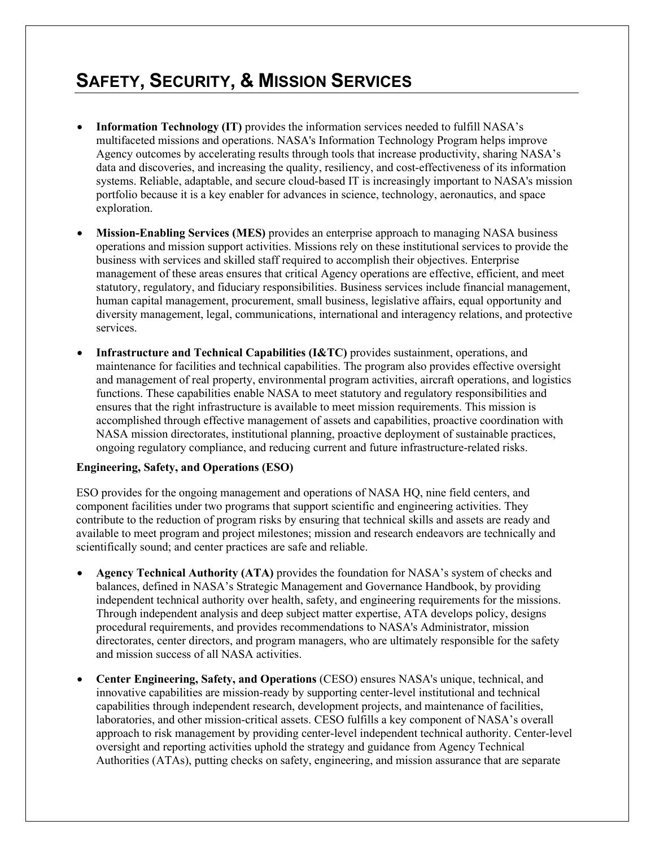- **Information Technology (IT)** provides the information services needed to fulfill NASA's multifaceted missions and operations. NASA's Information Technology Program helps improve Agency outcomes by accelerating results through tools that increase productivity, sharing NASA's data and discoveries, and increasing the quality, resiliency, and cost-effectiveness of its information systems. Reliable, adaptable, and secure cloud-based IT is increasingly important to NASA's mission portfolio because it is a key enabler for advances in science, technology, aeronautics, and space exploration.
- **Mission-Enabling Services (MES)** provides an enterprise approach to managing NASA business operations and mission support activities. Missions rely on these institutional services to provide the business with services and skilled staff required to accomplish their objectives. Enterprise management of these areas ensures that critical Agency operations are effective, efficient, and meet statutory, regulatory, and fiduciary responsibilities. Business services include financial management, human capital management, procurement, small business, legislative affairs, equal opportunity and diversity management, legal, communications, international and interagency relations, and protective services.
- **Infrastructure and Technical Capabilities (I&TC)** provides sustainment, operations, and maintenance for facilities and technical capabilities. The program also provides effective oversight and management of real property, environmental program activities, aircraft operations, and logistics functions. These capabilities enable NASA to meet statutory and regulatory responsibilities and ensures that the right infrastructure is available to meet mission requirements. This mission is accomplished through effective management of assets and capabilities, proactive coordination with NASA mission directorates, institutional planning, proactive deployment of sustainable practices, ongoing regulatory compliance, and reducing current and future infrastructure-related risks.

#### **Engineering, Safety, and Operations (ESO)**

ESO provides for the ongoing management and operations of NASA HQ, nine field centers, and component facilities under two programs that support scientific and engineering activities. They contribute to the reduction of program risks by ensuring that technical skills and assets are ready and available to meet program and project milestones; mission and research endeavors are technically and scientifically sound; and center practices are safe and reliable.

- **Agency Technical Authority (ATA)** provides the foundation for NASA's system of checks and balances, defined in NASA's Strategic Management and Governance Handbook, by providing independent technical authority over health, safety, and engineering requirements for the missions. Through independent analysis and deep subject matter expertise, ATA develops policy, designs procedural requirements, and provides recommendations to NASA's Administrator, mission directorates, center directors, and program managers, who are ultimately responsible for the safety and mission success of all NASA activities.
- **Center Engineering, Safety, and Operations** (CESO) ensures NASA's unique, technical, and innovative capabilities are mission-ready by supporting center-level institutional and technical capabilities through independent research, development projects, and maintenance of facilities, laboratories, and other mission-critical assets. CESO fulfills a key component of NASA's overall approach to risk management by providing center-level independent technical authority. Center-level oversight and reporting activities uphold the strategy and guidance from Agency Technical Authorities (ATAs), putting checks on safety, engineering, and mission assurance that are separate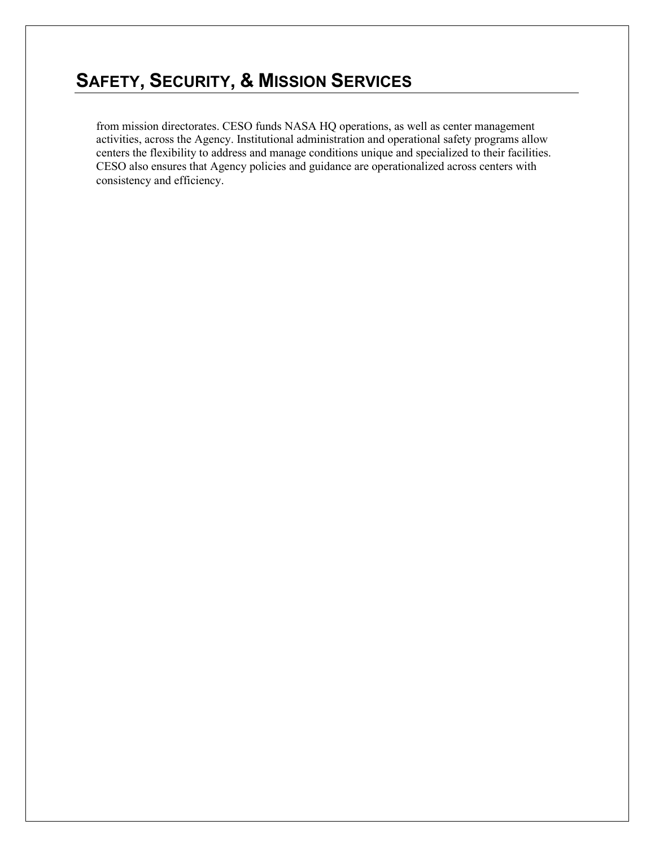from mission directorates. CESO funds NASA HQ operations, as well as center management activities, across the Agency. Institutional administration and operational safety programs allow centers the flexibility to address and manage conditions unique and specialized to their facilities. CESO also ensures that Agency policies and guidance are operationalized across centers with consistency and efficiency.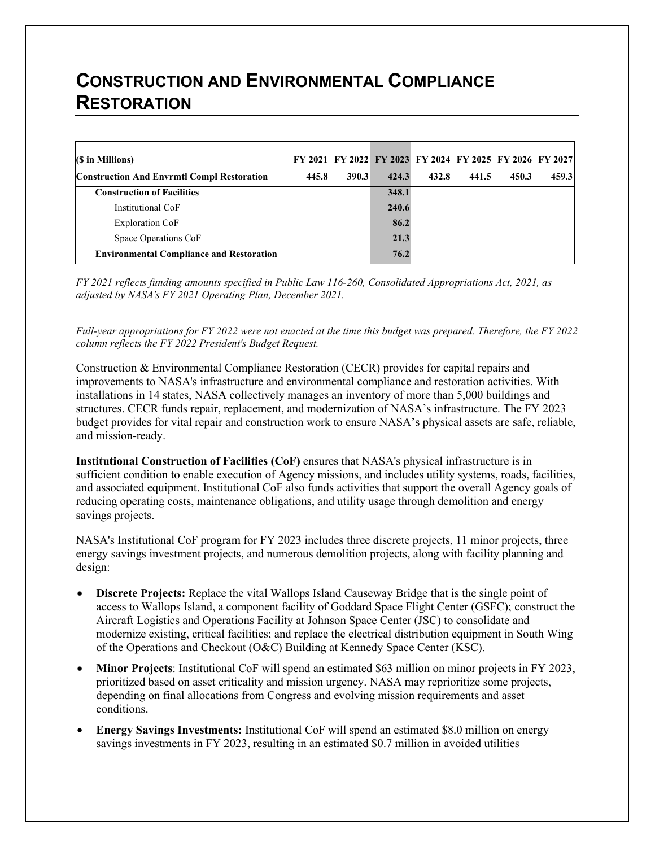# **CONSTRUCTION AND ENVIRONMENTAL COMPLIANCE RESTORATION**

| $(S \in M$ illions)                               |       |       |       | FY 2021 FY 2022 FY 2023 FY 2024 FY 2025 FY 2026 FY 2027 |       |       |       |
|---------------------------------------------------|-------|-------|-------|---------------------------------------------------------|-------|-------|-------|
| <b>Construction And Envrmtl Compl Restoration</b> | 445.8 | 390.3 | 424.3 | 432.8                                                   | 441.5 | 450.3 | 459.3 |
| <b>Construction of Facilities</b>                 |       |       | 348.1 |                                                         |       |       |       |
| Institutional CoF                                 |       |       | 240.6 |                                                         |       |       |       |
| <b>Exploration CoF</b>                            |       |       | 86.2  |                                                         |       |       |       |
| Space Operations CoF                              |       |       | 21.3  |                                                         |       |       |       |
| <b>Environmental Compliance and Restoration</b>   |       |       | 76.2  |                                                         |       |       |       |

*FY 2021 reflects funding amounts specified in Public Law 116-260, Consolidated Appropriations Act, 2021, as adjusted by NASA's FY 2021 Operating Plan, December 2021.*

*Full-year appropriations for FY 2022 were not enacted at the time this budget was prepared. Therefore, the FY 2022 column reflects the FY 2022 President's Budget Request.*

Construction & Environmental Compliance Restoration (CECR) provides for capital repairs and improvements to NASA's infrastructure and environmental compliance and restoration activities. With installations in 14 states, NASA collectively manages an inventory of more than 5,000 buildings and structures. CECR funds repair, replacement, and modernization of NASA's infrastructure. The FY 2023 budget provides for vital repair and construction work to ensure NASA's physical assets are safe, reliable, and mission-ready.

**Institutional Construction of Facilities (CoF)** ensures that NASA's physical infrastructure is in sufficient condition to enable execution of Agency missions, and includes utility systems, roads, facilities, and associated equipment. Institutional CoF also funds activities that support the overall Agency goals of reducing operating costs, maintenance obligations, and utility usage through demolition and energy savings projects.

NASA's Institutional CoF program for FY 2023 includes three discrete projects, 11 minor projects, three energy savings investment projects, and numerous demolition projects, along with facility planning and design:

- **Discrete Projects:** Replace the vital Wallops Island Causeway Bridge that is the single point of access to Wallops Island, a component facility of Goddard Space Flight Center (GSFC); construct the Aircraft Logistics and Operations Facility at Johnson Space Center (JSC) to consolidate and modernize existing, critical facilities; and replace the electrical distribution equipment in South Wing of the Operations and Checkout (O&C) Building at Kennedy Space Center (KSC).
- **Minor Projects**: Institutional CoF will spend an estimated \$63 million on minor projects in FY 2023, prioritized based on asset criticality and mission urgency. NASA may reprioritize some projects, depending on final allocations from Congress and evolving mission requirements and asset conditions.
- **Energy Savings Investments:** Institutional CoF will spend an estimated \$8.0 million on energy savings investments in FY 2023, resulting in an estimated \$0.7 million in avoided utilities